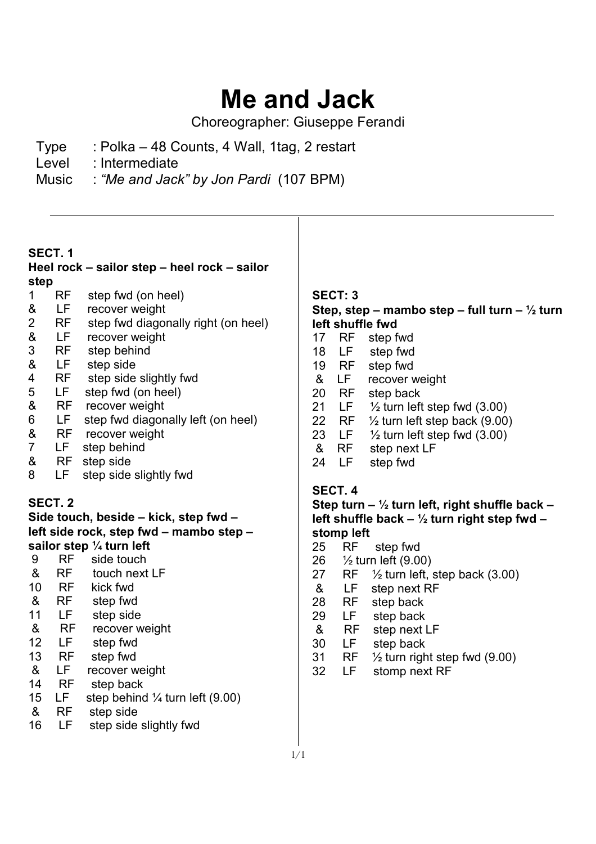# **Me and Jack**

Choreographer: Giuseppe Ferandi

- Type : Polka 48 Counts, 4 Wall, 1tag, 2 restart
- Level : Intermediate
- Music : *"Me and Jack" by Jon Pardi* (107 BPM)

## **SECT. 1**

### **Heel rock – sailor step – heel rock – sailor step**

- 1 RF step fwd (on heel)
- & LF recover weight
- 2 RF step fwd diagonally right (on heel)
- & LF recover weight
- 3 RF step behind
- 8. LF step side<br>4. RF step side
- 4 RF step side slightly fwd<br>5 LF step fwd (on heel)
- LF step fwd (on heel)
- & RF recover weight
- 6 LF step fwd diagonally left (on heel)
- & RF recover weight<br>7 LF step behind
- LF step behind
- & RF step side
- 8 LF step side slightly fwd

# **SECT. 2**

**Side touch, beside – kick, step fwd – left side rock, step fwd – mambo step – sailor step ¼ turn left** 

- 9 RF side touch & RF touch next LF 10 RF kick fwd
- & RF step fwd
- 11 LF step side
- & RF recover weight
- 12 LF step fwd
- 13 RF step fwd
- & LF recover weight
- 14 RF step back
- 15 LF step behind  $\frac{1}{4}$  turn left (9.00)
- & RF step side
- 16 LF step side slightly fwd

## **SECT: 3 Step, step – mambo step – full turn – ½ turn left shuffle fwd**

- 17 RF step fwd
- 18 LF step fwd
- 19 RF step fwd
- & LF recover weight
- 20 RF step back
- 21 LF  $\frac{1}{2}$  turn left step fwd (3.00)
- 22 RF  $\frac{1}{2}$  turn left step back (9.00)
- 23 LF  $\frac{1}{2}$  turn left step fwd (3.00)
- & RF step next LF
- 24 LF step fwd

## **SECT. 4**

**Step turn – ½ turn left, right shuffle back – left shuffle back – ½ turn right step fwd – stomp left** 

- 25 RF step fwd
- 26 ½ turn left (9.00)
- 27 RF  $\frac{1}{2}$  turn left, step back (3.00)
- & LF step next RF
- 28 RF step back
- 29 LF step back
- & RF step next LF
- 30 LF step back<br>31 RF 1/2 turn right
- 31 RF ½ turn right step fwd (9.00)
- 32 LF stomp next RF